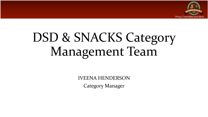

# DSD & SNACKS Category Management Team

IVEENA HENDERSON Category Manager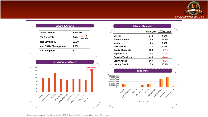

| Sales Volume           | \$150.8M        |
|------------------------|-----------------|
| <b>YOY Growth</b>      | 4.6%<br>Rem AOC |
| <b>Net Savings %</b>   | 21.0%           |
| # of SKUs Planogrammed | 1,062           |
| # of Suppliers         | 52              |



| <b>Category Dynamics</b> |                        |
|--------------------------|------------------------|
|                          | Sales (\$M) YOY Growth |
|                          |                        |

| <b>Energy</b>           | 14.6 | 5.3%    |
|-------------------------|------|---------|
| Soda Premium            | 1.9  | 14.6%   |
| <b>Mixers</b>           | 1.1  | 0.2%    |
| <b>Misc Snacks</b>      | 11.2 | 9.5%    |
| <b>Candy Chocolate</b>  | 18.3 | $-1.7%$ |
| <b>Popcorn RTE</b>      | 1.6  | $-1.7%$ |
| <b>Cookies/Crackers</b> | 43.0 | $-0.4%$ |
| <b>Salty Snacks</b>     | 56.4 | $-0.1%$ |
| <b>Healthy Snacks</b>   | 2.6  | 15.8%   |

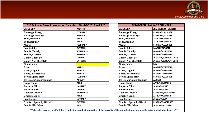

| DSD & Snacks Team Presentation Calendar JAN - DEC 2019 +A1:E26 |                  |  | <b>ADD/DELETE PACKAGE CHANGES</b>  |                          |  |
|----------------------------------------------------------------|------------------|--|------------------------------------|--------------------------|--|
| <b>CATEGORY</b>                                                | <b>MONTH</b>     |  | <b>CATEGORY</b>                    | <b>3RD WEEK OF MONTH</b> |  |
| <b>Beverage, Energy</b>                                        | <b>FEBRUARY</b>  |  | <b>Beverage, Energy</b>            | <b>FEBRUARY/AUGUST</b>   |  |
| <b>Beverage, New Age</b>                                       | <b>FEBRUARY</b>  |  | <b>Beverage, New Age</b>           | <b>FEBRUARY/AUGUST</b>   |  |
| Soda, Premium                                                  | <b>APRIL</b>     |  | Soda, Premium                      | <b>APRIL/NOVEMBER</b>    |  |
| Soda, Regular                                                  | <b>APRIL</b>     |  | Soda, Regular                      | <b>APRIL/NOVEMBER</b>    |  |
| <b>Mixers</b>                                                  | <b>FEBRUARY</b>  |  | <b>Mixers</b>                      | FEBRUARY/AUGUST          |  |
| <b>Snack, Salty</b>                                            | <b>OCTOBER</b>   |  | <b>Snack, Salty</b>                | <b>MARCH/OCTOBER</b>     |  |
| <b>Snacks, Healthy</b>                                         | <b>SEPTEMBER</b> |  | <b>Snacks, Healthy</b>             | <b>MARCH/SEPTEMBER</b>   |  |
| <b>Snacks, Canister</b>                                        | <b>SEPTEMBER</b> |  | <b>Snacks, Canister</b>            | <b>MARCH/SEPTEMBER</b>   |  |
| <b>Candy, Chocolate</b>                                        | <b>JANUARY</b>   |  | <b>Candy, Chocolate</b>            | JANUARY/JUNE/OCTOBER     |  |
| <b>Candy, Non-chocolate</b>                                    | <b>OCTOBER</b>   |  | <b>Candy, Non-chocolate</b>        | JANUARY/JUNE/OCTOBER     |  |
| <b>Grain Cakes</b>                                             |                  |  | <b>Grain Cakes</b>                 | <b>JULY</b>              |  |
| <b>Bread</b>                                                   | <b>MARCH</b>     |  | <b>Bread</b>                       | <b>MARCH/SEPTEMBER</b>   |  |
| <b>Bread, Organic</b>                                          | <b>MARCH</b>     |  | <b>Bread, Organic</b>              | <b>MARCH/SEPTEMBER</b>   |  |
| <b>Bread, International</b>                                    | <b>MARCH</b>     |  | <b>Bread, International</b>        | <b>MARCH/SEPTEMBER</b>   |  |
| Tortillas/pizza crust                                          | <b>FEBRUARY</b>  |  | Tortillas/pizza crust              | FEBRUARY/AUGUST          |  |
| <b>Ice Cream Cones/Toppings</b>                                | <b>AUGUST</b>    |  | <b>Ice Cream Cones/Toppings</b>    | <b>AUGUST</b>            |  |
| <b>Sweet Goods</b>                                             | <b>APRIL</b>     |  | <b>Sweet Goods</b>                 | <b>APRIL/NOVEMBER</b>    |  |
| Popcorn, Micro                                                 | <b>JANUARY</b>   |  | Popcorn, Micro                     | JANUARY/JUNE             |  |
| Popcorn, RTE                                                   | <b>JANUARY</b>   |  | Popcorn, RTE                       | JANUARY/JUNE             |  |
| <b>Cookies/Crackers</b>                                        | <b>SEPTEMBER</b> |  | <b>Cookies/Crackers</b>            | FEBRUARY/SEPTEMBER       |  |
| <b>Cracker, Snack</b>                                          | <b>APRIL</b>     |  | <b>Cracker, Snack</b>              | <b>APRIL/NOVEMBER</b>    |  |
| <b>Snacks</b> , Nuts                                           | <b>JANUARY</b>   |  | <b>Snacks, Nuts</b>                | <b>JANUARY/JULY</b>      |  |
| <b>Cracker, Speciality Biscuit</b>                             | <b>OCTOBER</b>   |  | <b>Cracker, Speciality Biscuit</b> | <b>FEBRUARY/OCTOBER</b>  |  |
| <b>Snacks Misc/Meat</b>                                        | <b>AUGUST</b>    |  | <b>Snacks Misc/Meat</b>            | <b>JANUARY/AUGUST</b>    |  |

| <b>ADD/DELETE PACKAGE CHANGES</b>  |                           |
|------------------------------------|---------------------------|
| <b>CATEGORY</b>                    | <b>3RD WEEK OF MONTH</b>  |
| <b>Beverage, Energy</b>            | FEBRUARY/AUGUST           |
| <b>Beverage, New Age</b>           | <b>FEBRUARY/AUGUST</b>    |
| Soda, Premium                      | <b>APRIL/NOVEMBER</b>     |
| Soda, Regular                      | <b>APRIL/NOVEMBER</b>     |
| <b>Mixers</b>                      | FEBRUARY/AUGUST           |
| <b>Snack, Salty</b>                | <b>MARCH/OCTOBER</b>      |
| <b>Snacks, Healthy</b>             | <b>MARCH/SEPTEMBER</b>    |
| <b>Snacks, Canister</b>            | <b>MARCH/SEPTEMBER</b>    |
| <b>Candy, Chocolate</b>            | JANUARY/JUNE/OCTOBER      |
| <b>Candy, Non-chocolate</b>        | JANUARY/JUNE/OCTOBER      |
| <b>Grain Cakes</b>                 | <b>JULY</b>               |
| <b>Bread</b>                       | <b>MARCH/SEPTEMBER</b>    |
| <b>Bread, Organic</b>              | <b>MARCH/SEPTEMBER</b>    |
| <b>Bread, International</b>        | <b>MARCH/SEPTEMBER</b>    |
| Tortillas/pizza crust              | <b>FEBRUARY/AUGUST</b>    |
| <b>Ice Cream Cones/Toppings</b>    | <b>AUGUST</b>             |
| <b>Sweet Goods</b>                 | <b>APRIL/NOVEMBER</b>     |
| Popcorn, Micro                     | JANUARY/JUNE              |
| Popcorn, RTE                       | JANUARY/JUNE              |
| <b>Cookies/Crackers</b>            | <b>FEBRUARY/SEPTEMBER</b> |
| <b>Cracker</b> , Snack             | <b>APRIL/NOVEMBER</b>     |
| <b>Snacks, Nuts</b>                | <b>JANUARY/JULY</b>       |
| <b>Cracker, Speciality Biscuit</b> | <b>FEBRUARY/OCTOBER</b>   |
| <b>Snacks Misc/Meat</b>            | JANUARY/AUGUST            |

**\*\*Schedules may be modified due to industries product innovation of the majority of the manufacturers in a specific category including leaders.\*\***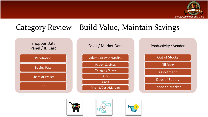

### Category Review – Build Value, Maintain Savings







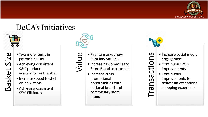

### DeCA's Initiatives



- Basket Size
- Two more items in patron's basket
- Achieving consistent 98% product availability on the shelf
- Increase speed to shelf on new items
- Achieving consistent 95% Fill Rates



Value

- First to market new item innovations
- Increasing Commissary Store Brand assortment
- Increase cross promotional opportunities with national brand and commissary store brand

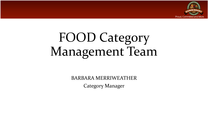

# FOOD Category Management Team

BARBARA MERRIWEATHER Category Manager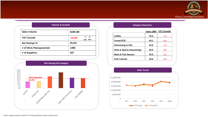

| <b>Sales Volume</b>    | \$199.4M            |  |  |
|------------------------|---------------------|--|--|
| <b>YOY Growth</b>      | $-10.2%$<br>AOC Rem |  |  |
| <b>Net Savings %</b>   | 25.4%               |  |  |
| # of SKUs Planogrammed | 1408                |  |  |
| # of Suppliers         | 167                 |  |  |



| <b>Category Dynamics</b>            |             |                   |  |  |  |
|-------------------------------------|-------------|-------------------|--|--|--|
|                                     | Sales (\$M) | <b>YOY Growth</b> |  |  |  |
| Coffee                              | 70.3        | $-7.3$            |  |  |  |
| <b>Cereal RTE</b>                   | 45.1        | $-9.6$            |  |  |  |
| <b>Shortening &amp; Oils</b>        | 24.6        | $-7.0$            |  |  |  |
| <b>Herb &amp; Spices Seasonings</b> | 20.0        | $-0.6$            |  |  |  |
| <b>Meat &amp; Fish Sauces</b>       | 19.5        | $-5.2$            |  |  |  |
| <b>Fish Canned</b>                  | 18.6        | $-5.8$            |  |  |  |

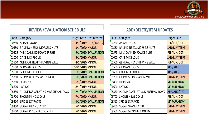

### **REVIEW/EVALUATION SCHEDULE**

| Cat #  | Category                            |                  | <b>Target Date Last Review</b> |
|--------|-------------------------------------|------------------|--------------------------------|
| 00250  | <b>ASIAN FOODS</b>                  |                  | $4/1/2019$ $4/1/2019$          |
| 00550  | <b>BAKING NEEDS MORSELS NUTS</b>    | 3/1/2020 MAJOR   |                                |
| 00575  | MILK CANNED POWDER UHT              |                  | 9/1/2020 EVALUATION            |
| 01000  | <b>CAKE MIX FLOUR</b>               | 5/1/2010 MAJOR   |                                |
| 05500  | <b>GENERAL HEALTH LIVING WELL</b>   | 4/1/2020 MINOR   |                                |
| 05550  | <b>GERMAN FOODS</b>                 | 10/1/2019 MINOR  |                                |
| 05600  | <b>GOURMET FOODS</b>                |                  | 11/1/2019 EVALUATION           |
| 05750  | <b>GRAVY &amp; DRY SEASON MIXES</b> |                  | 6/1/2020 EVALUATION            |
| 05850  | <b>HISPANIC</b>                     | $6/1/2019$ MAJOR |                                |
| 06600  | <b>LATINO</b>                       | 8/1/2019 MINOR   |                                |
| 08350  | PUDDINGS GELATINS MARSHMALLOWS      |                  | 2/1/2020 EVALUATION            |
| [08700 | <b>SHORTENING &amp; OILS</b>        | 7/1/2020 MAJOR   |                                |
| 09350  | <b>SPICES EXTRACTS</b>              |                  | 6/1/2020 EVALUATION            |
| 09450  | <b>SUGAR GRANULATED</b>             | 5/1/2020 MINOR   |                                |
| 09500  | <b>SUGAR &amp; CONFECTIONERY</b>    | 5/1/2020 MINOR   |                                |

### **ADD/DELETE/ITEM UPDATES**

| Cat # | Category                            | <b>Target Date</b> |
|-------|-------------------------------------|--------------------|
| 00250 | <b>ASIAN FOODS</b>                  | FEB/JUN/OCT        |
| 00550 | <b>BAKING NEEDS MORSELS NUTS</b>    | JAN/MAY/SEPT       |
| 00575 | MILK CANNED POWDER UHT              | FEB/JUN/OCT        |
| 01000 | <b>CAKE MIX FLOUR</b>               | JAN/MAY/SEPT       |
| 05500 | <b>GENERAL HEALTH LIVING WELL</b>   | FEB/JUN/OCT        |
| 05550 | <b>GERMAN FOODS</b>                 | APR/AUG/DEC        |
| 05600 | <b>GOURMET FOODS</b>                | APR/AUG/DEC        |
| 05750 | <b>GRAVY &amp; DRY SEASON MIXES</b> | JAN/MAY/SEPT       |
| 05850 | <b>HISPANIC</b>                     | MAR/JUL/NOV        |
| 06600 | LATINO                              | MAR/JUL/NOV        |
| 08350 | PUDDINGS GELATINS MARSHMALLOWS      | APR/AUG/DEC        |
| 08700 | <b>SHORTENING &amp; OILS</b>        | FEB/JUN/OCT        |
| 09350 | <b>SPICES EXTRACTS</b>              | MAR/JUL/NOV        |
| 09450 | <b>SUGAR GRANULATED</b>             | JAN/MAY/SEPT       |
| 09500 | <b>SUGAR &amp; CONFECTIONERY</b>    | JAN/MAY/SEPT       |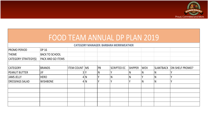

| <b>FOOD TEAM ANNUAL DP PLAN 2019</b> |                       |                       |     |     |                                               |                |            |                  |                 |
|--------------------------------------|-----------------------|-----------------------|-----|-----|-----------------------------------------------|----------------|------------|------------------|-----------------|
|                                      |                       |                       |     |     |                                               |                |            |                  |                 |
|                                      |                       |                       |     |     | <b>CATEGORY MANAGER: BARBARA MERRIWEATHER</b> |                |            |                  |                 |
| <b>PROMO PERIOD</b>                  | <b>DP 16</b>          |                       |     |     |                                               |                |            |                  |                 |
| <b>THEME</b>                         | <b>BACK TO SCHOOL</b> |                       |     |     |                                               |                |            |                  |                 |
| CATEGORY STRATEGY(S)                 | PACK AND GO ITEMS     |                       |     |     |                                               |                |            |                  |                 |
|                                      |                       |                       |     |     |                                               |                |            |                  |                 |
| <b>CATEGORY</b>                      | <b>BRANDS</b>         | <b>ITEM COUNT IMS</b> |     | PB  | <b>SCRIPTED EC</b>                            | <b>SHIPPER</b> | <b>WOV</b> | <b>SLANTBACK</b> | ON SHELF PROMO? |
| <b>PEANUT BUTTER</b>                 | <b>JIF</b>            | 31                    |     | IN. |                                               | N              | N          | IN               |                 |
| <b>JAMS JELLY</b>                    | <b>HERO</b>           |                       | 4 N |     | IN                                            | N              |            | IN.              |                 |
| <b>DRESSINGS SALAD</b>               | <b>WISHBONE</b>       |                       | 4 N |     | $\mathbf v$                                   |                | <b>N</b>   | IN.              |                 |
|                                      |                       |                       |     |     |                                               |                |            |                  |                 |
|                                      |                       |                       |     |     |                                               |                |            |                  |                 |
|                                      |                       |                       |     |     |                                               |                |            |                  |                 |
|                                      |                       |                       |     |     |                                               |                |            |                  |                 |
|                                      |                       |                       |     |     |                                               |                |            |                  |                 |